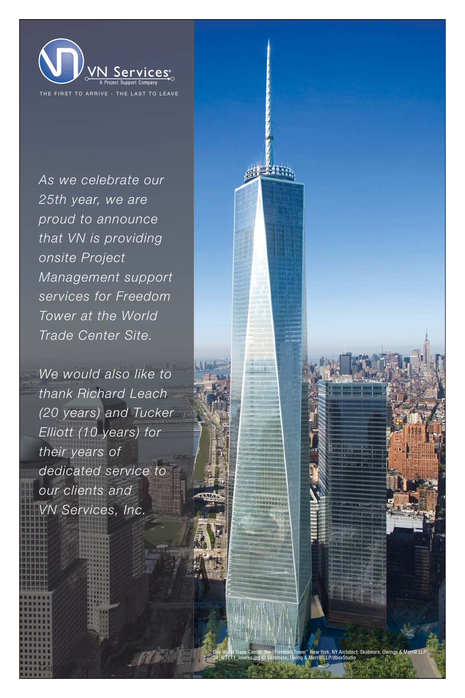

As we celebrate our 25th year, we are proud to announce that VN is providing onsite Project Management support services for Freedom Tower at the World Trade Center Site.

We would also like to thank Richard Leach (20 years) and Tucker Elliott (10 years) for their years of dedicated service to our clients and VN Services, Inc.